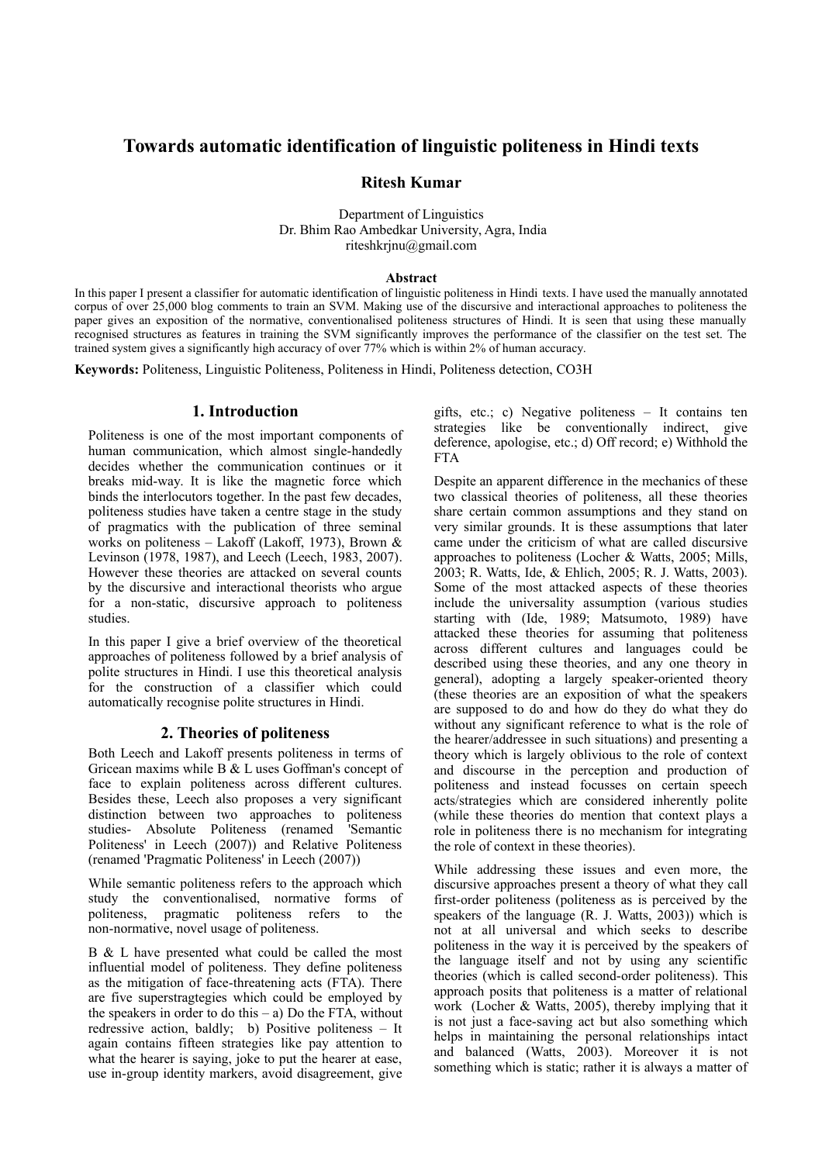# **Towards automatic identification of linguistic politeness in Hindi texts**

## **Ritesh Kumar**

Department of Linguistics Dr. Bhim Rao Ambedkar University, Agra, India riteshkrjnu@gmail.com

### **Abstract**

In this paper I present a classifier for automatic identification of linguistic politeness in Hindi texts. I have used the manually annotated corpus of over 25,000 blog comments to train an SVM. Making use of the discursive and interactional approaches to politeness the paper gives an exposition of the normative, conventionalised politeness structures of Hindi. It is seen that using these manually recognised structures as features in training the SVM significantly improves the performance of the classifier on the test set. The trained system gives a significantly high accuracy of over 77% which is within 2% of human accuracy.

**Keywords:** Politeness, Linguistic Politeness, Politeness in Hindi, Politeness detection, CO3H

## **1. Introduction**

Politeness is one of the most important components of human communication, which almost single-handedly decides whether the communication continues or it breaks mid-way. It is like the magnetic force which binds the interlocutors together. In the past few decades, politeness studies have taken a centre stage in the study of pragmatics with the publication of three seminal works on politeness – Lakoff (Lakoff, 1973), Brown & Levinson (1978, 1987), and Leech (Leech, 1983, 2007). However these theories are attacked on several counts by the discursive and interactional theorists who argue for a non-static, discursive approach to politeness studies.

In this paper I give a brief overview of the theoretical approaches of politeness followed by a brief analysis of polite structures in Hindi. I use this theoretical analysis for the construction of a classifier which could automatically recognise polite structures in Hindi.

## **2. Theories of politeness**

Both Leech and Lakoff presents politeness in terms of Gricean maxims while B & L uses Goffman's concept of face to explain politeness across different cultures. Besides these, Leech also proposes a very significant distinction between two approaches to politeness studies- Absolute Politeness (renamed 'Semantic Politeness' in Leech (2007)) and Relative Politeness (renamed 'Pragmatic Politeness' in Leech (2007))

While semantic politeness refers to the approach which study the conventionalised, normative forms of politeness, pragmatic politeness refers to the non-normative, novel usage of politeness.

B & L have presented what could be called the most influential model of politeness. They define politeness as the mitigation of face-threatening acts (FTA). There are five superstragtegies which could be employed by the speakers in order to do this  $-$  a) Do the FTA, without redressive action, baldly; b) Positive politeness – It again contains fifteen strategies like pay attention to what the hearer is saying, joke to put the hearer at ease, use in-group identity markers, avoid disagreement, give

gifts, etc.; c) Negative politeness – It contains ten strategies like be conventionally indirect, give deference, apologise, etc.; d) Off record; e) Withhold the FTA

Despite an apparent difference in the mechanics of these two classical theories of politeness, all these theories share certain common assumptions and they stand on very similar grounds. It is these assumptions that later came under the criticism of what are called discursive approaches to politeness (Locher & Watts, 2005; Mills, 2003; R. Watts, Ide, & Ehlich, 2005; R. J. Watts, 2003). Some of the most attacked aspects of these theories include the universality assumption (various studies starting with (Ide, 1989; Matsumoto, 1989) have attacked these theories for assuming that politeness across different cultures and languages could be described using these theories, and any one theory in general), adopting a largely speaker-oriented theory (these theories are an exposition of what the speakers are supposed to do and how do they do what they do without any significant reference to what is the role of the hearer/addressee in such situations) and presenting a theory which is largely oblivious to the role of context and discourse in the perception and production of politeness and instead focusses on certain speech acts/strategies which are considered inherently polite (while these theories do mention that context plays a role in politeness there is no mechanism for integrating the role of context in these theories).

While addressing these issues and even more, the discursive approaches present a theory of what they call first-order politeness (politeness as is perceived by the speakers of the language (R. J. Watts, 2003)) which is not at all universal and which seeks to describe politeness in the way it is perceived by the speakers of the language itself and not by using any scientific theories (which is called second-order politeness). This approach posits that politeness is a matter of relational work (Locher & Watts, 2005), thereby implying that it is not just a face-saving act but also something which helps in maintaining the personal relationships intact and balanced (Watts, 2003). Moreover it is not something which is static; rather it is always a matter of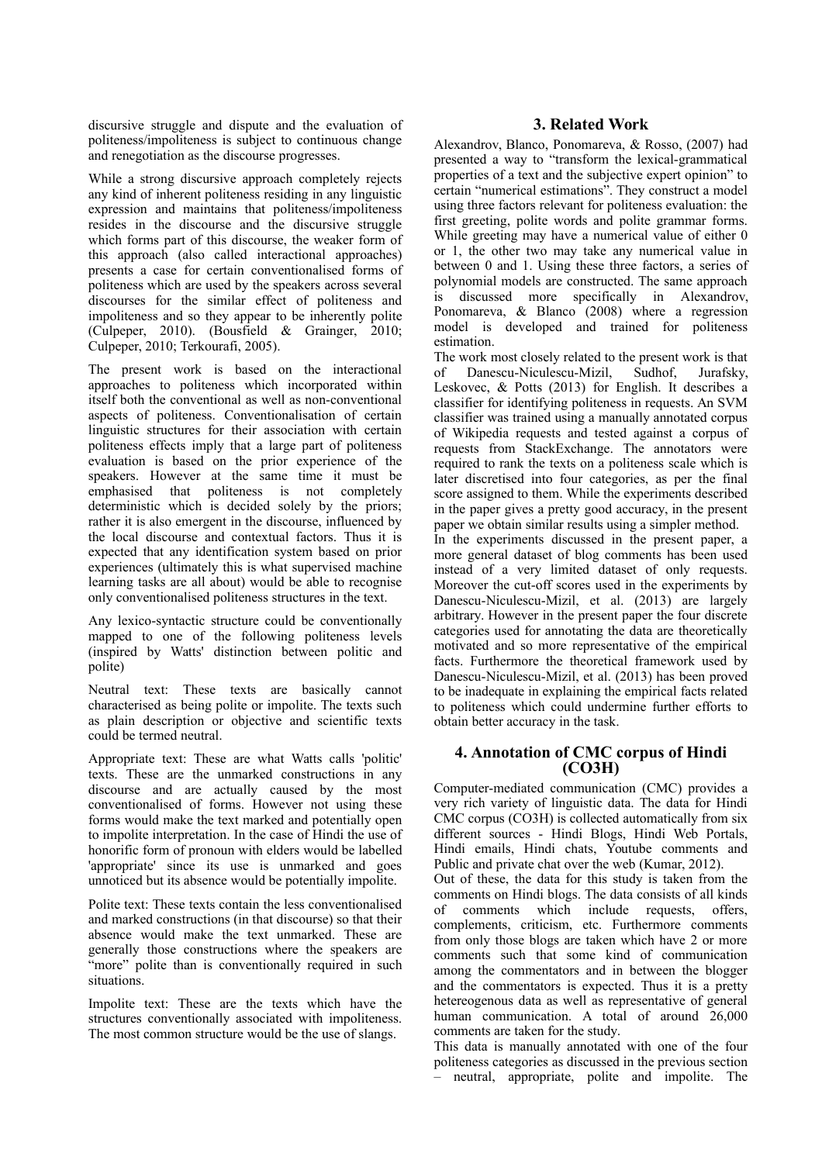discursive struggle and dispute and the evaluation of politeness/impoliteness is subject to continuous change and renegotiation as the discourse progresses.

While a strong discursive approach completely rejects any kind of inherent politeness residing in any linguistic expression and maintains that politeness/impoliteness resides in the discourse and the discursive struggle which forms part of this discourse, the weaker form of this approach (also called interactional approaches) presents a case for certain conventionalised forms of politeness which are used by the speakers across several discourses for the similar effect of politeness and impoliteness and so they appear to be inherently polite (Culpeper, 2010). (Bousfield & Grainger, 2010; Culpeper, 2010; Terkourafi, 2005).

The present work is based on the interactional approaches to politeness which incorporated within itself both the conventional as well as non-conventional aspects of politeness. Conventionalisation of certain linguistic structures for their association with certain politeness effects imply that a large part of politeness evaluation is based on the prior experience of the speakers. However at the same time it must be emphasised that politeness is not completely deterministic which is decided solely by the priors; rather it is also emergent in the discourse, influenced by the local discourse and contextual factors. Thus it is expected that any identification system based on prior experiences (ultimately this is what supervised machine learning tasks are all about) would be able to recognise only conventionalised politeness structures in the text.

Any lexico-syntactic structure could be conventionally mapped to one of the following politeness levels (inspired by Watts' distinction between politic and polite)

Neutral text: These texts are basically cannot characterised as being polite or impolite. The texts such as plain description or objective and scientific texts could be termed neutral.

Appropriate text: These are what Watts calls 'politic' texts. These are the unmarked constructions in any discourse and are actually caused by the most conventionalised of forms. However not using these forms would make the text marked and potentially open to impolite interpretation. In the case of Hindi the use of honorific form of pronoun with elders would be labelled 'appropriate' since its use is unmarked and goes unnoticed but its absence would be potentially impolite.

Polite text: These texts contain the less conventionalised and marked constructions (in that discourse) so that their absence would make the text unmarked. These are generally those constructions where the speakers are "more" polite than is conventionally required in such situations.

Impolite text: These are the texts which have the structures conventionally associated with impoliteness. The most common structure would be the use of slangs.

## **3. Related Work**

Alexandrov, Blanco, Ponomareva, & Rosso, (2007) had presented a way to "transform the lexical-grammatical properties of a text and the subjective expert opinion" to certain "numerical estimations". They construct a model using three factors relevant for politeness evaluation: the first greeting, polite words and polite grammar forms. While greeting may have a numerical value of either 0 or 1, the other two may take any numerical value in between 0 and 1. Using these three factors, a series of polynomial models are constructed. The same approach is discussed more specifically in Alexandrov, Ponomareva, & Blanco (2008) where a regression model is developed and trained for politeness estimation.

The work most closely related to the present work is that of Danescu-Niculescu-Mizil, Sudhof, Jurafsky, Leskovec, & Potts (2013) for English. It describes a classifier for identifying politeness in requests. An SVM classifier was trained using a manually annotated corpus of Wikipedia requests and tested against a corpus of requests from StackExchange. The annotators were required to rank the texts on a politeness scale which is later discretised into four categories, as per the final score assigned to them. While the experiments described in the paper gives a pretty good accuracy, in the present paper we obtain similar results using a simpler method. In the experiments discussed in the present paper, a more general dataset of blog comments has been used instead of a very limited dataset of only requests. Moreover the cut-off scores used in the experiments by Danescu-Niculescu-Mizil, et al. (2013) are largely arbitrary. However in the present paper the four discrete categories used for annotating the data are theoretically motivated and so more representative of the empirical facts. Furthermore the theoretical framework used by

Danescu-Niculescu-Mizil, et al. (2013) has been proved to be inadequate in explaining the empirical facts related to politeness which could undermine further efforts to obtain better accuracy in the task.

## **4. Annotation of CMC corpus of Hindi (CO3H)**

Computer-mediated communication (CMC) provides a very rich variety of linguistic data. The data for Hindi CMC corpus (CO3H) is collected automatically from six different sources - Hindi Blogs, Hindi Web Portals, Hindi emails, Hindi chats, Youtube comments and Public and private chat over the web (Kumar, 2012).

Out of these, the data for this study is taken from the comments on Hindi blogs. The data consists of all kinds of comments which include requests, offers, complements, criticism, etc. Furthermore comments from only those blogs are taken which have 2 or more comments such that some kind of communication among the commentators and in between the blogger and the commentators is expected. Thus it is a pretty hetereogenous data as well as representative of general human communication. A total of around 26,000 comments are taken for the study.

This data is manually annotated with one of the four politeness categories as discussed in the previous section – neutral, appropriate, polite and impolite. The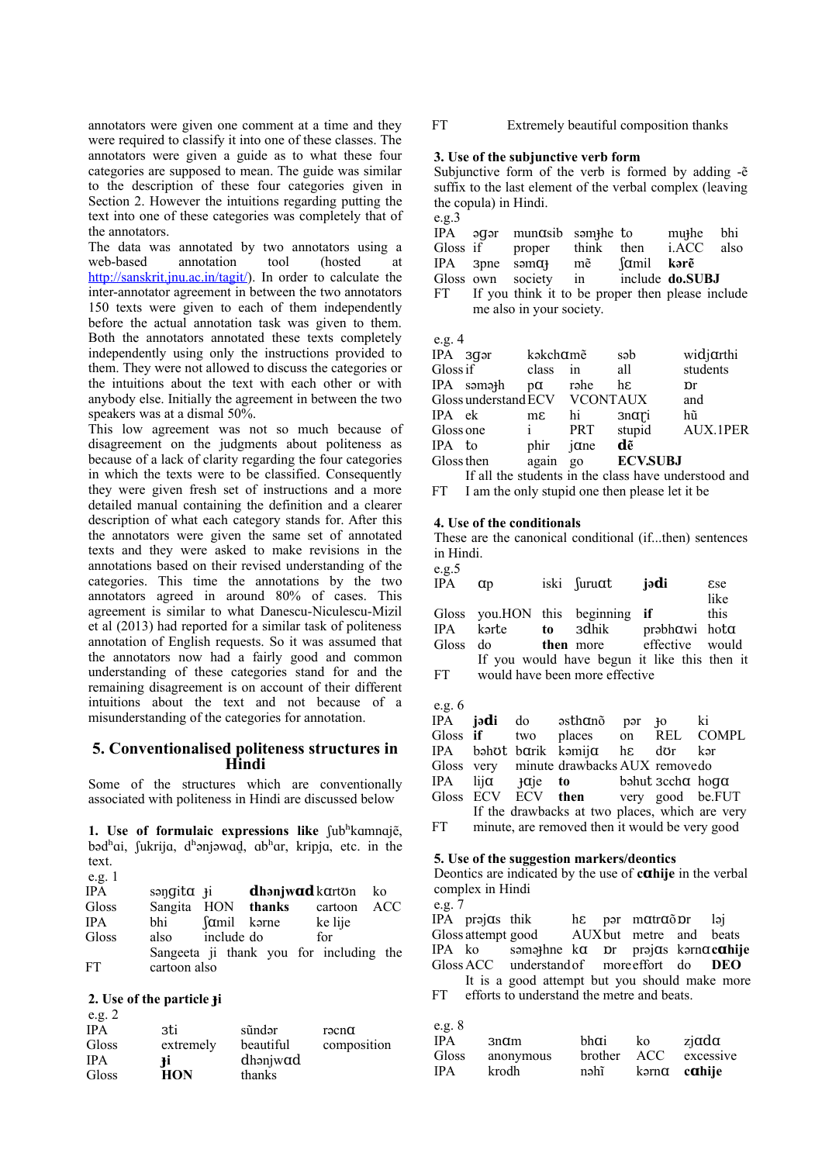annotators were given one comment at a time and they were required to classify it into one of these classes. The annotators were given a guide as to what these four categories are supposed to mean. The guide was similar to the description of these four categories given in Section 2. However the intuitions regarding putting the text into one of these categories was completely that of the annotators.

The data was annotated by two annotators using a web-based annotation tool (hosted at [http://sanskrit.jnu.ac.in/tagit/\)](http://sanskrit.jnu.ac.in/tagit/). In order to calculate the inter-annotator agreement in between the two annotators 150 texts were given to each of them independently before the actual annotation task was given to them. Both the annotators annotated these texts completely independently using only the instructions provided to them. They were not allowed to discuss the categories or the intuitions about the text with each other or with anybody else. Initially the agreement in between the two speakers was at a dismal 50%.

This low agreement was not so much because of disagreement on the judgments about politeness as because of a lack of clarity regarding the four categories in which the texts were to be classified. Consequently they were given fresh set of instructions and a more detailed manual containing the definition and a clearer description of what each category stands for. After this the annotators were given the same set of annotated texts and they were asked to make revisions in the annotations based on their revised understanding of the categories. This time the annotations by the two annotators agreed in around 80% of cases. This agreement is similar to what Danescu-Niculescu-Mizil et al (2013) had reported for a similar task of politeness annotation of English requests. So it was assumed that the annotators now had a fairly good and common understanding of these categories stand for and the remaining disagreement is on account of their different intuitions about the text and not because of a misunderstanding of the categories for annotation.

### **5. Conventionalised politeness structures in Hindi**

Some of the structures which are conventionally associated with politeness in Hindi are discussed below

1. Use of formulaic expressions like fubhkamnaje, bəd<sup>h</sup>ai, fukrija, d<sup>h</sup>ənjəwad, ab<sup>h</sup>ar, kripja, etc. in the text.  $e \sigma$  1

|     |                                        |                                                      | ko                                                                |
|-----|----------------------------------------|------------------------------------------------------|-------------------------------------------------------------------|
|     |                                        | cartoon                                              | ACC                                                               |
| bhi |                                        | ke lije                                              |                                                                   |
|     |                                        | for                                                  |                                                                   |
|     |                                        |                                                      |                                                                   |
|     |                                        |                                                      |                                                                   |
|     | səngita <del>j</del> i<br>cartoon also | Sangita HON thanks<br>famil karne<br>also include do | <b>dhənjwad</b> karton<br>Sangeeta ji thank you for including the |

### **2. Use of the particle iɟ**

| e.g. $2$   |            |           |                  |
|------------|------------|-----------|------------------|
| <b>IPA</b> | зti        | sũndər    | $r9$ cn $\alpha$ |
| Gloss      | extremely  | beautiful | composition      |
| <b>IPA</b> | Ŧi.        | dhanjwad  |                  |
| Gloss      | <b>HON</b> | thanks    |                  |

FT Extremely beautiful composition thanks

#### **3. Use of the subjunctive verb form**

Subjunctive form of the verb is formed by adding -e<sup>®</sup> suffix to the last element of the verbal complex (leaving the copula) in Hindi.

| e.g.3    |          |                                                     |                       |            |       |     |
|----------|----------|-----------------------------------------------------|-----------------------|------------|-------|-----|
|          | IPA əqər | mun $\alpha$ sib som <sub>il</sub> he to            |                       |            | muthe | bhi |
| Gloss if |          | proper                                              | think then i.ACC also |            |       |     |
| IPA 3pne |          | $\text{sum}\ \mathbf{q}$ me $\mathbf{q}$            |                       | famil kərē |       |     |
|          |          | Gloss own society in include <b>do.SUBJ</b>         |                       |            |       |     |
|          |          | FT If you think it to be proper then please include |                       |            |       |     |
|          |          | me also in your society.                            |                       |            |       |     |

e.o.  $\Lambda$ 

| $\mathbf{v} \cdot \mathbf{v}$ |                               |                |            |                 |           |
|-------------------------------|-------------------------------|----------------|------------|-----------------|-----------|
| IPA 3gər                      |                               | kakchame       |            | səb             | widjarthi |
| Gloss if                      |                               | class          | in         | all             | students  |
|                               | IPA səməth                    | $p\alpha$      | rəhe       | hε              | рr        |
|                               | Gloss understand ECV VCONTAUX |                |            |                 | and       |
| IPA ek                        |                               | $m\varepsilon$ | hi         | 3nαri           | hũ        |
| Gloss one                     |                               | Ť              | <b>PRT</b> | stupid          | AUX.1PER  |
| IPA to                        |                               | phir           | $j$ and    | dẽ              |           |
| Gloss then                    |                               | again          | go         | <b>ECV.SUBJ</b> |           |
|                               |                               |                |            |                 |           |

FT If all the students in the class have understood and

## I am the only stupid one then please let it be

#### **4. Use of the conditionals**

These are the canonical conditional (if...then) sentences in Hindi.

| e.g.5<br>IPA | $\alpha$ | iski suruat                     | iədi                                         | <b>Ese</b><br>like |
|--------------|----------|---------------------------------|----------------------------------------------|--------------------|
|              |          | Gloss you.HON this beginning if | IPA karte to adhik prabhawi hota             | this               |
|              |          |                                 | Gloss do <b>then</b> more effective would    |                    |
| FT –         |          | would have been more effective  | If you would have begun it like this then it |                    |

e.g.  $6$ 

|       |  | IPA jə <b>d</b> i do əsthanõ                     | pər | łО | ki |
|-------|--|--------------------------------------------------|-----|----|----|
|       |  | Gloss if two places on REL COMPL                 |     |    |    |
|       |  | IPA bəhot-barik kəmija h $\varepsilon$ dor kər   |     |    |    |
|       |  | Gloss very minute drawbacks AUX removedo         |     |    |    |
|       |  | IPA $\lim_{\alpha \to 0}$ ip to behut secha hoga |     |    |    |
|       |  | Gloss ECV ECV then very good be.FUT              |     |    |    |
|       |  | If the drawbacks at two places, which are very   |     |    |    |
| FT 11 |  | minute, are removed then it would be very good   |     |    |    |

#### **5. Use of the suggestion markers/deontics**

Deontics are indicated by the use of **cahije** in the verbal complex in Hindi

e.g. 7 IPA prəj $\alpha$ s thik h $\varepsilon$  pər m  $\alpha$ tr $\alpha$  o  $\alpha$ r ləj Gloss attempt good  $\overline{A}$  AUX but metre and beats IPA ko samathing kan be and  $\overline{B}$  and  $\overline{B}$  and  $\overline{B}$  and  $\overline{B}$  and  $\overline{B}$  and  $\overline{B}$  and  $\overline{B}$  and  $\overline{B}$  and  $\overline{B}$  and  $\overline{B}$  and  $\overline{B}$  an səməthne ka pr prəjas kərnacahije GlossACC understandof moreeffort do **DEO** FT It is a good attempt but you should make more efforts to understand the metre and beats.

| e.g. $8$   |                  |         |                      |                   |
|------------|------------------|---------|----------------------|-------------------|
| <b>IPA</b> | 3n <sub>cm</sub> | hhai    | ko                   | $zi$ and $\alpha$ |
| Gloss      | anonymous        | brother | ACC.                 | excessive         |
| <b>IPA</b> | krodh            | nəhĩ    | kərna c <b>ahije</b> |                   |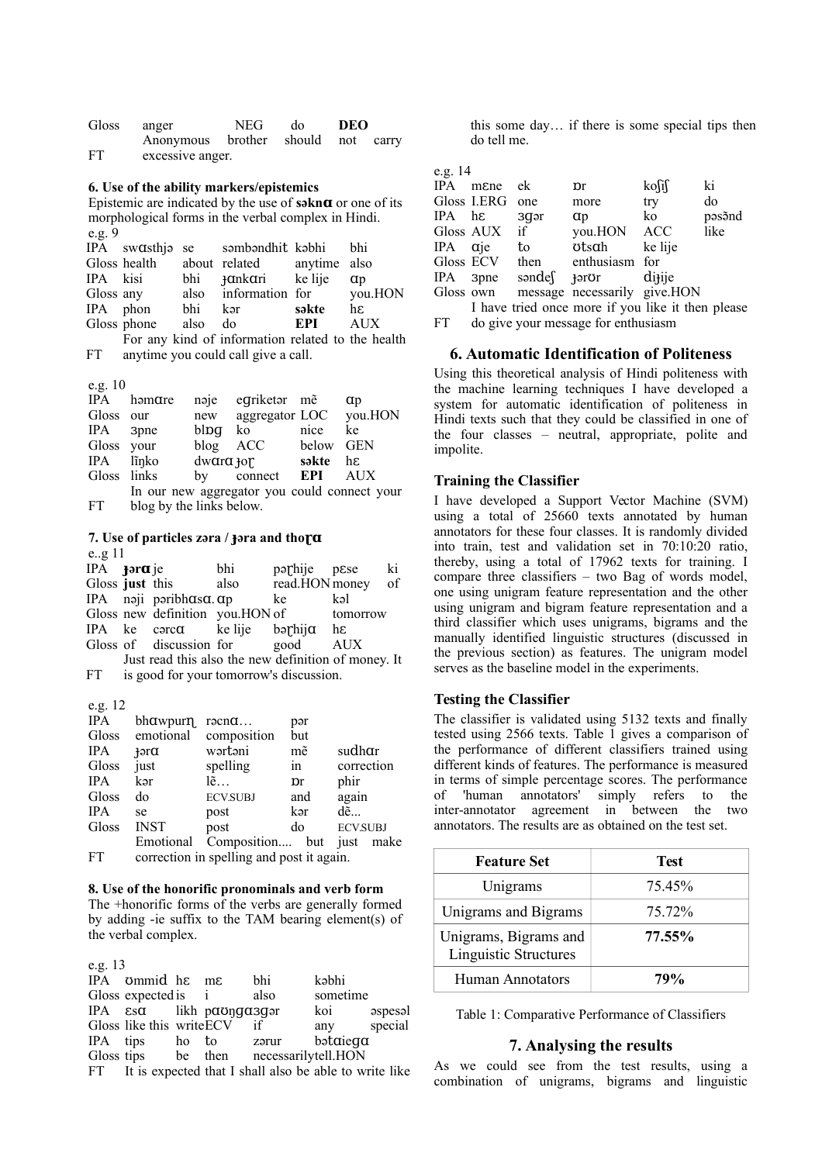| Gloss | anger                              | NEG. | do | DEO |  |
|-------|------------------------------------|------|----|-----|--|
|       | Anonymous brother should not carry |      |    |     |  |
| FT    | excessive anger.                   |      |    |     |  |

#### **6. Use of the ability markers/epistemics**

Epistemic are indicated by the use of **səknɑ** or one of its morphological forms in the verbal complex in Hindi. e.g. 9

|           |             |         | IPA swasthje se sembendhit kebhi bhi              |       |          |
|-----------|-------------|---------|---------------------------------------------------|-------|----------|
|           |             |         | Gloss health about related anytime also           |       |          |
| IPA kisi  |             |         | bhi <b>Hankari</b> ke lije                        |       | $\alpha$ |
| Gloss any |             |         | also information for you.HON                      |       |          |
| IPA phon  |             | bhi     | kər                                               | səkte | hε       |
|           | Gloss phone | also do |                                                   | EPI   | AUX      |
|           |             |         | For any kind of information related to the health |       |          |

FT anytime you could call give a call.

#### e.g. 10

| IPA         | həmare                   | naje | egriketar me                                 |           | αp      |
|-------------|--------------------------|------|----------------------------------------------|-----------|---------|
| Gloss       | our                      | new  | aggregator LOC                               |           | you.HON |
| IPA         | 3pne                     | blpq | ko                                           | nice      | ke      |
| Gloss your  |                          |      | blog ACC                                     | below GEN |         |
| IPA         | lĩnko                    |      | $d$ w $arct$ <sub>j</sub> or səkte           |           | hε      |
| Gloss links |                          |      | by connect <b>EPI</b>                        |           | AUX     |
|             |                          |      | In our new aggregator you could connect your |           |         |
| FT.         | blog by the links below. |      |                                              |           |         |

#### **7.** Use of particles zəra / **Hara** and thora e..g 11

| IPA <b>Ford</b> je |                                                     | bhi  | parhije pese      |          | ki |
|--------------------|-----------------------------------------------------|------|-------------------|----------|----|
| Gloss just this    |                                                     | also | read.HON money of |          |    |
|                    | IPA naji paribh $\alpha$ sa. $\alpha$ p             |      | ke                | kəl      |    |
|                    | Gloss new definition you.HON of                     |      |                   | tomorrow |    |
|                    | IPA ke carc $\alpha$ ke lije barhij $\alpha$ he     |      |                   |          |    |
|                    | Gloss of discussion for good                        |      |                   | AUX      |    |
|                    | Just read this also the new definition of money. It |      |                   |          |    |
| FT.                | is good for your tomorrow's discussion.             |      |                   |          |    |

#### e.g. 12

| <b>IPA</b> | bhawpurn     | $r\partial cn\alpha$                      | pər                             |                 |
|------------|--------------|-------------------------------------------|---------------------------------|-----------------|
| Gloss      | emotional    | composition                               | but                             |                 |
| <b>IPA</b> | $\text{For}$ | wərtəni                                   | mẽ                              | sudhar          |
| Gloss      | just         | spelling                                  | in                              | correction      |
| <b>IPA</b> | kər          | $l\tilde{e}$                              | $\mathop{\mathrm{pr}}\nolimits$ | phir            |
| Gloss      | do           | <b>ECV.SUBJ</b>                           | and                             | again           |
| <b>IPA</b> | se           | post                                      | kər                             | $d\tilde{e}$    |
| Gloss      | <b>INST</b>  | post                                      | do                              | <b>ECV.SUBJ</b> |
|            | Emotional    | Composition but                           |                                 | just<br>make    |
| FT         |              | correction in spelling and post it again. |                                 |                 |

#### **8. Use of the honorific pronominals and verb form**

The +honorific forms of the verbs are generally formed by adding -ie suffix to the TAM bearing element(s) of the verbal complex.

|   | ×  |
|---|----|
| × |    |
| I | ۰, |
|   |    |

| IPA ommid he me                   |          | bhi                                                       | kəbhi       |         |
|-----------------------------------|----------|-----------------------------------------------------------|-------------|---------|
| Gloss expected is i               |          | also                                                      | sometime    |         |
| IPA $\epsilon$ sa likh paongasgor |          |                                                           | koi         | aspesal |
| Gloss like this write ECV if      |          |                                                           | any special |         |
| IPA tips ho                       | to zərur |                                                           | bətaiega    |         |
|                                   |          | Gloss tips be then necessarilytell. HON                   |             |         |
|                                   |          | FT It is expected that I shall also be able to write like |             |         |

this some day… if there is some special tips then do tell me.

| l |  |
|---|--|
|   |  |

| U.K. 14      |                 |                                   |                                                   |                   |        |
|--------------|-----------------|-----------------------------------|---------------------------------------------------|-------------------|--------|
|              | IPA mene        | ek                                | $\mathbf{p}$ r                                    | $k$ osis          | ki     |
|              | Gloss I.ERG one |                                   | more                                              | try               | do     |
| IPA hε       |                 | 3q <sub>ar</sub>                  | $\alpha$                                          | ko                | pəsənd |
|              | Gloss AUX if    |                                   | you.HON ACC                                       |                   | like   |
| $IPA$ $q$ ie |                 | to                                | otsαh                                             | ke lije           |        |
|              | Gloss ECV       | then                              | enthusiasm for                                    |                   |        |
|              |                 | IPA 3pne səndef <del>j</del> əror |                                                   | di <sub>lie</sub> |        |
| Gloss own    |                 |                                   | message necessarily give.HON                      |                   |        |
|              |                 |                                   | I have tried once more if you like it then please |                   |        |

FT do give your message for enthusiasm

### **6. Automatic Identification of Politeness**

Using this theoretical analysis of Hindi politeness with the machine learning techniques I have developed a system for automatic identification of politeness in Hindi texts such that they could be classified in one of the four classes – neutral, appropriate, polite and impolite.

### **Training the Classifier**

I have developed a Support Vector Machine (SVM) using a total of 25660 texts annotated by human annotators for these four classes. It is randomly divided into train, test and validation set in 70:10:20 ratio, thereby, using a total of 17962 texts for training. I compare three classifiers – two Bag of words model, one using unigram feature representation and the other using unigram and bigram feature representation and a third classifier which uses unigrams, bigrams and the manually identified linguistic structures (discussed in the previous section) as features. The unigram model serves as the baseline model in the experiments.

#### **Testing the Classifier**

The classifier is validated using 5132 texts and finally tested using 2566 texts. Table 1 gives a comparison of the performance of different classifiers trained using different kinds of features. The performance is measured in terms of simple percentage scores. The performance of 'human annotators' simply refers to the inter-annotator agreement in between the two annotators. The results are as obtained on the test set.

| <b>Feature Set</b>                                    | Test   |
|-------------------------------------------------------|--------|
| Unigrams                                              | 75.45% |
| Unigrams and Bigrams                                  | 75.72% |
| Unigrams, Bigrams and<br><b>Linguistic Structures</b> | 77.55% |
| <b>Human Annotators</b>                               | 79%    |

Table 1: Comparative Performance of Classifiers

#### **7. Analysing the results**

As we could see from the test results, using a combination of unigrams, bigrams and linguistic